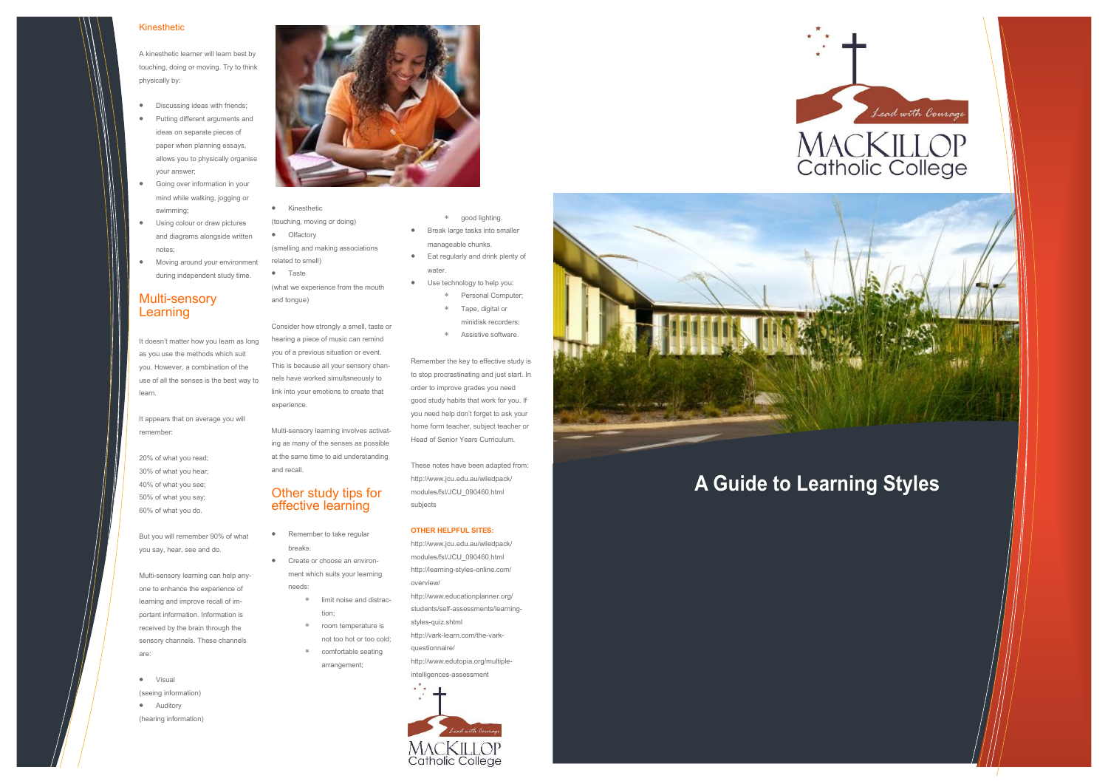## **A Guide to Learning Styles**

# Lead with Courage MACKILLOP<br>Catholic College

### Kinesthetic

A kinesthetic learner will learn best by touching, doing or moving. Try to think physically by:

- Discussing ideas with friends;
- Putting different arguments and ideas on separate pieces of paper when planning essays, allows you to physically organise your answer;
- Going over information in your mind while walking, jogging or swimming;
- Using colour or draw pictures and diagrams alongside written notes;
- Moving around your environment during independent study time.

## Multi-sensory Learning

- Kinesthetic
- (touching, moving or doing)
- **•** Olfactory (smelling and making associations related to smell)
- Taste

It doesn't matter how you learn as long as you use the methods which suit you. However, a combination of the use of all the senses is the best way to learn.

It appears that on average you will remember:

20% of what you read; 30% of what you hear; 40% of what you see; 50% of what you say; 60% of what you do.

But you will remember 90% of what you say, hear, see and do.

- Remember to take regular breaks.
- Create or choose an environment which suits your learning needs:
	- limit noise and distraction;
	- room temperature is not too hot or too cold;
	- comfortable seating arrangement;

## good lighting. **Break large tasks into smaller** manageable chunks. **Eat regularly and drink plenty of**

Multi-sensory learning can help anyone to enhance the experience of learning and improve recall of important information. Information is received by the brain through the sensory channels. These channels are:

 Visual (seeing information) **•** Auditory (hearing information)



(what we experience from the mouth and tongue)

Consider how strongly a smell, taste or hearing a piece of music can remind you of a previous situation or event. This is because all your sensory channels have worked simultaneously to link into your emotions to create that experience.

Multi-sensory learning involves activating as many of the senses as possible at the same time to aid understanding and recall.

## Other study tips for effective learning

- water. Use technology to help you:
	- Personal Computer;
	- Tape, digital or
	- minidisk recorders;
	- Assistive software.

Remember the key to effective study is to stop procrastinating and just start. In order to improve grades you need good study habits that work for you. If you need help don't forget to ask your home form teacher, subject teacher or Head of Senior Years Curriculum.

These notes have been adapted from: http://www.jcu.edu.au/wiledpack/ modules/fsl/JCU\_090460.html subjects

### **OTHER HELPFUL SITES:**

- http://www.jcu.edu.au/wiledpack/ modules/fsl/JCU\_090460.html http://learning-styles-online.com/ overview/
- http://www.educationplanner.org/ students/self-assessments/learningstyles-quiz.shtml
- http://vark-learn.com/the-varkquestionnaire/ http://www.edutopia.org/multipleintelligences-assessment